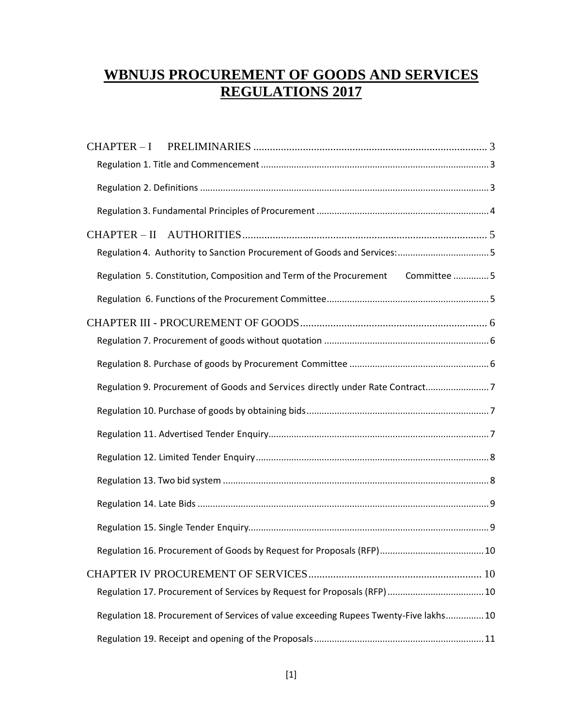# **WBNUJS PROCUREMENT OF GOODS AND SERVICES REGULATIONS 2017**

| CHAPTER-I                                                                             |
|---------------------------------------------------------------------------------------|
|                                                                                       |
|                                                                                       |
|                                                                                       |
|                                                                                       |
| Regulation 4. Authority to Sanction Procurement of Goods and Services:5               |
| Regulation 5. Constitution, Composition and Term of the Procurement Committee 5       |
|                                                                                       |
|                                                                                       |
|                                                                                       |
|                                                                                       |
| Regulation 9. Procurement of Goods and Services directly under Rate Contract7         |
|                                                                                       |
|                                                                                       |
|                                                                                       |
|                                                                                       |
|                                                                                       |
|                                                                                       |
|                                                                                       |
|                                                                                       |
|                                                                                       |
| Regulation 18. Procurement of Services of value exceeding Rupees Twenty-Five lakhs 10 |
|                                                                                       |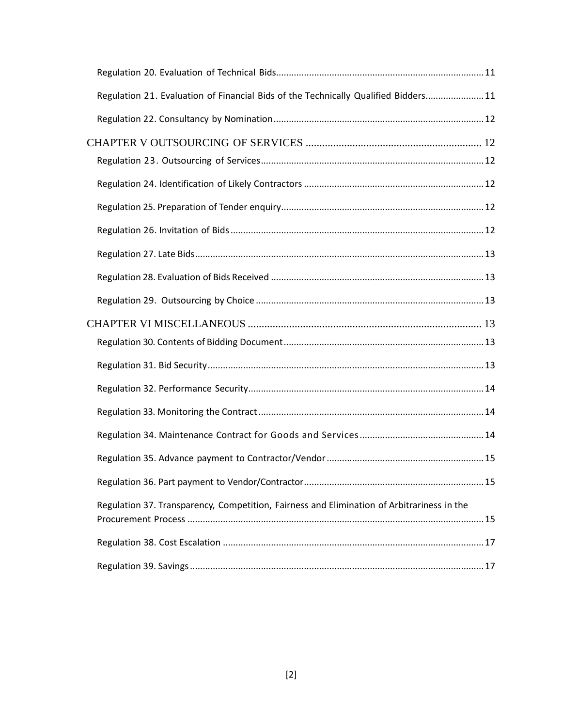| Regulation 21. Evaluation of Financial Bids of the Technically Qualified Bidders 11        |  |
|--------------------------------------------------------------------------------------------|--|
|                                                                                            |  |
|                                                                                            |  |
|                                                                                            |  |
|                                                                                            |  |
|                                                                                            |  |
|                                                                                            |  |
|                                                                                            |  |
|                                                                                            |  |
|                                                                                            |  |
|                                                                                            |  |
|                                                                                            |  |
|                                                                                            |  |
|                                                                                            |  |
|                                                                                            |  |
|                                                                                            |  |
|                                                                                            |  |
|                                                                                            |  |
| Regulation 37. Transparency, Competition, Fairness and Elimination of Arbitrariness in the |  |
|                                                                                            |  |
|                                                                                            |  |
|                                                                                            |  |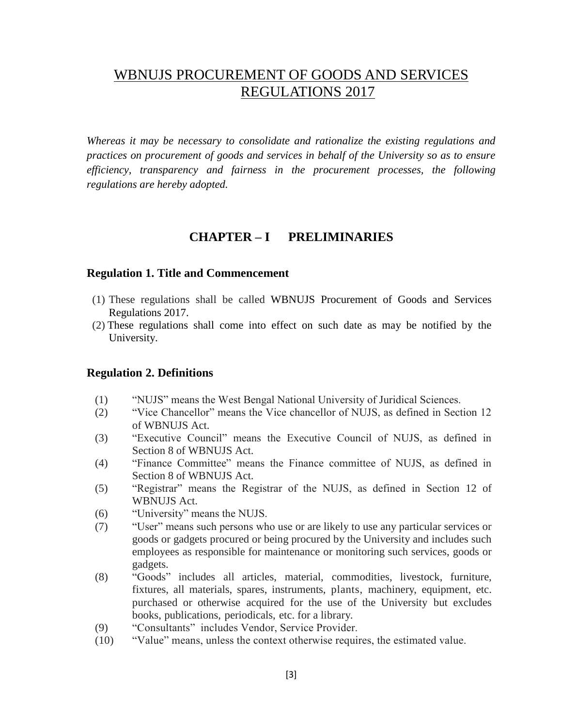# WBNUJS PROCUREMENT OF GOODS AND SERVICES REGULATIONS 2017

*Whereas it may be necessary to consolidate and rationalize the existing regulations and practices on procurement of goods and services in behalf of the University so as to ensure efficiency, transparency and fairness in the procurement processes, the following regulations are hereby adopted.*

### **CHAPTER – I PRELIMINARIES**

#### <span id="page-2-1"></span><span id="page-2-0"></span>**Regulation 1. Title and Commencement**

- (1) These regulations shall be called WBNUJS Procurement of Goods and Services Regulations 2017.
- (2) These regulations shall come into effect on such date as may be notified by the University.

### <span id="page-2-2"></span>**Regulation 2. Definitions**

- (1) "NUJS" means the West Bengal National University of Juridical Sciences.
- (2) "Vice Chancellor" means the Vice chancellor of NUJS, as defined in Section 12 of WBNUJS Act.
- (3) "Executive Council" means the Executive Council of NUJS, as defined in Section 8 of WBNUJS Act.
- (4) "Finance Committee" means the Finance committee of NUJS, as defined in Section 8 of WBNUJS Act.
- (5) "Registrar" means the Registrar of the NUJS, as defined in Section 12 of WBNUJS Act.
- (6) "University" means the NUJS.
- (7) "User" means such persons who use or are likely to use any particular services or goods or gadgets procured or being procured by the University and includes such employees as responsible for maintenance or monitoring such services, goods or gadgets.
- (8) "Goods" includes all articles, material, commodities, livestock, furniture, fixtures, all materials, spares, instruments, plants, machinery, equipment, etc. purchased or otherwise acquired for the use of the University but excludes books, publications, periodicals, etc. for a library.
- (9) "Consultants" includes Vendor, Service Provider.
- (10) "Value" means, unless the context otherwise requires, the estimated value.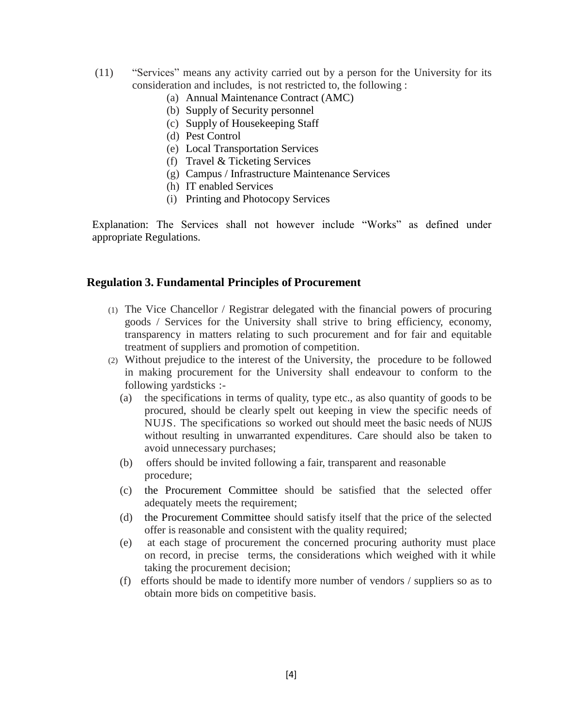- (11) "Services" means any activity carried out by a person for the University for its consideration and includes, is not restricted to, the following :
	- (a) Annual Maintenance Contract (AMC)
	- (b) Supply of Security personnel
	- (c) Supply of Housekeeping Staff
	- (d) Pest Control
	- (e) Local Transportation Services
	- (f) Travel & Ticketing Services
	- (g) Campus / Infrastructure Maintenance Services
	- (h) IT enabled Services
	- (i) Printing and Photocopy Services

Explanation: The Services shall not however include "Works" as defined under appropriate Regulations.

#### <span id="page-3-0"></span>**Regulation 3. Fundamental Principles of Procurement**

- (1) The Vice Chancellor / Registrar delegated with the financial powers of procuring goods / Services for the University shall strive to bring efficiency, economy, transparency in matters relating to such procurement and for fair and equitable treatment of suppliers and promotion of competition.
- (2) Without prejudice to the interest of the University, the procedure to be followed in making procurement for the University shall endeavour to conform to the following yardsticks :-
	- (a) the specifications in terms of quality, type etc., as also quantity of goods to be procured, should be clearly spelt out keeping in view the specific needs of NUJS. The specifications so worked out should meet the basic needs of NUJS without resulting in unwarranted expenditures. Care should also be taken to avoid unnecessary purchases;
	- (b) offers should be invited following a fair, transparent and reasonable procedure;
	- (c) the Procurement Committee should be satisfied that the selected offer adequately meets the requirement;
	- (d) the Procurement Committee should satisfy itself that the price of the selected offer is reasonable and consistent with the quality required;
	- (e) at each stage of procurement the concerned procuring authority must place on record, in precise terms, the considerations which weighed with it while taking the procurement decision;
	- (f) efforts should be made to identify more number of vendors / suppliers so as to obtain more bids on competitive basis.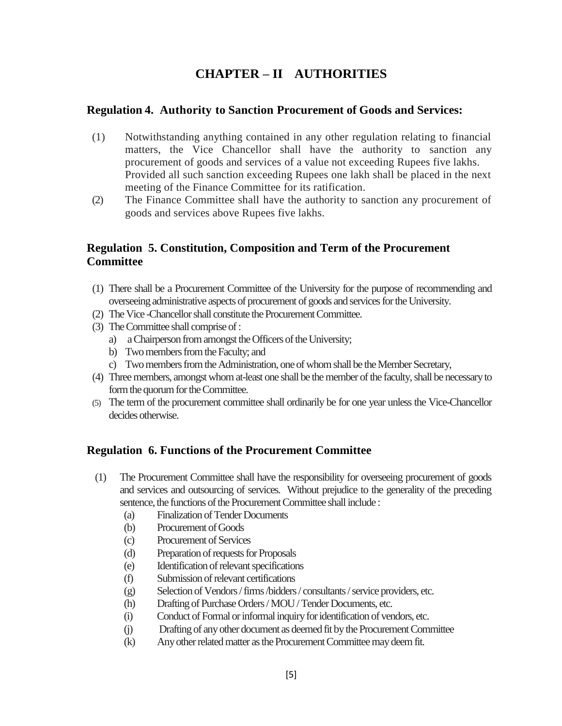# **CHAPTER – II AUTHORITIES**

### <span id="page-4-1"></span><span id="page-4-0"></span>**Regulation 4. Authority to Sanction Procurement of Goods and Services:**

- (1) Notwithstanding anything contained in any other regulation relating to financial matters, the Vice Chancellor shall have the authority to sanction any procurement of goods and services of a value not exceeding Rupees five lakhs. Provided all such sanction exceeding Rupees one lakh shall be placed in the next meeting of the Finance Committee for its ratification.
- (2) The Finance Committee shall have the authority to sanction any procurement of goods and services above Rupees five lakhs.

## <span id="page-4-2"></span>**Regulation 5. Constitution, Composition and Term of the Procurement Committee**

- (1) There shall be a Procurement Committee of the University for the purpose of recommending and overseeing administrative aspects of procurement of goods and services for the University.
- (2) The Vice -Chancellor shall constitute the Procurement Committee.
- (3) The Committee shall comprise of :
	- a) a Chairperson from amongst the Officers of the University;
	- b) Two members from the Faculty; and
	- c) Two members from the Administration, one of whom shall be the Member Secretary,
- (4) Three members, amongst whom at-least one shall be the member of the faculty, shall be necessary to form the quorum for the Committee.
- (5) The term of the procurement committee shall ordinarily be for one year unless the Vice-Chancellor decides otherwise.

## <span id="page-4-3"></span>**Regulation 6. Functions of the Procurement Committee**

- (1) The Procurement Committee shall have the responsibility for overseeing procurement of goods and services and outsourcing of services. Without prejudice to the generality of the preceding sentence, the functions of the Procurement Committee shall include :
	- (a) Finalization of Tender Documents
	- (b) Procurement of Goods
	- (c) Procurement of Services
	- (d) Preparation of requests for Proposals
	- (e) Identification of relevant specifications
	- (f) Submission of relevant certifications
	- (g) Selection of Vendors / firms /bidders / consultants / service providers, etc.
	- (h) Drafting of Purchase Orders / MOU / Tender Documents, etc.
	- (i) Conduct of Formal or informal inquiry foridentification of vendors, etc.
	- (j) Drafting of any other document as deemed fit by the Procurement Committee
	- (k) Any other related matter as the Procurement Committee may deem fit.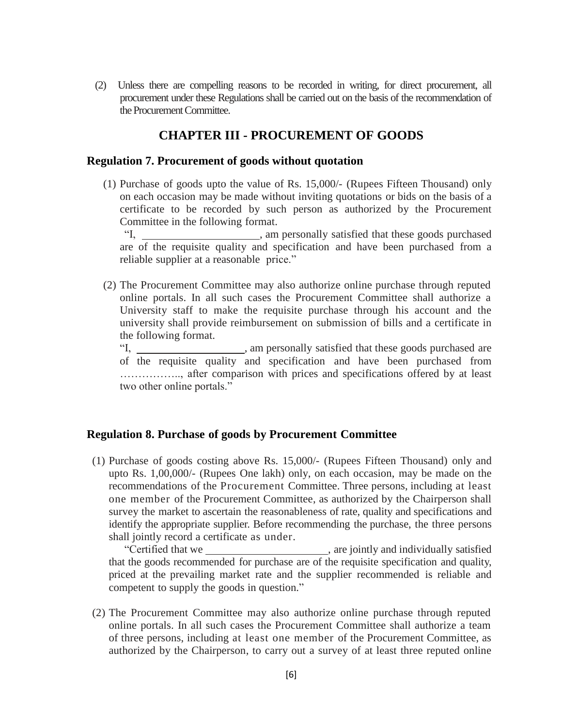(2) Unless there are compelling reasons to be recorded in writing, for direct procurement, all procurement under these Regulations shall be carried out on the basis of the recommendation of the Procurement Committee.

## **CHAPTER III - PROCUREMENT OF GOODS**

#### <span id="page-5-1"></span><span id="page-5-0"></span>**Regulation 7. Procurement of goods without quotation**

(1) Purchase of goods upto the value of Rs. 15,000/- (Rupees Fifteen Thousand) only on each occasion may be made without inviting quotations or bids on the basis of a certificate to be recorded by such person as authorized by the Procurement Committee in the following format.

"I, \_\_\_\_\_\_\_\_\_\_\_\_\_\_\_\_\_, am personally satisfied that these goods purchased are of the requisite quality and specification and have been purchased from a reliable supplier at a reasonable price."

(2) The Procurement Committee may also authorize online purchase through reputed online portals. In all such cases the Procurement Committee shall authorize a University staff to make the requisite purchase through his account and the university shall provide reimbursement on submission of bills and a certificate in the following format.

"I, \_\_\_\_\_\_\_\_\_\_\_\_\_\_\_, am personally satisfied that these goods purchased are of the requisite quality and specification and have been purchased from …………….., after comparison with prices and specifications offered by at least two other online portals."

### <span id="page-5-2"></span>**Regulation 8. Purchase of goods by Procurement Committee**

(1) Purchase of goods costing above Rs. 15,000/- (Rupees Fifteen Thousand) only and upto Rs. 1,00,000/- (Rupees One lakh) only, on each occasion, may be made on the recommendations of the Procurement Committee. Three persons, including at least one member of the Procurement Committee, as authorized by the Chairperson shall survey the market to ascertain the reasonableness of rate, quality and specifications and identify the appropriate supplier. Before recommending the purchase, the three persons shall jointly record a certificate as under.

"Certified that we , are jointly and individually satisfied that the goods recommended for purchase are of the requisite specification and quality, priced at the prevailing market rate and the supplier recommended is reliable and competent to supply the goods in question."

(2) The Procurement Committee may also authorize online purchase through reputed online portals. In all such cases the Procurement Committee shall authorize a team of three persons, including at least one member of the Procurement Committee, as authorized by the Chairperson, to carry out a survey of at least three reputed online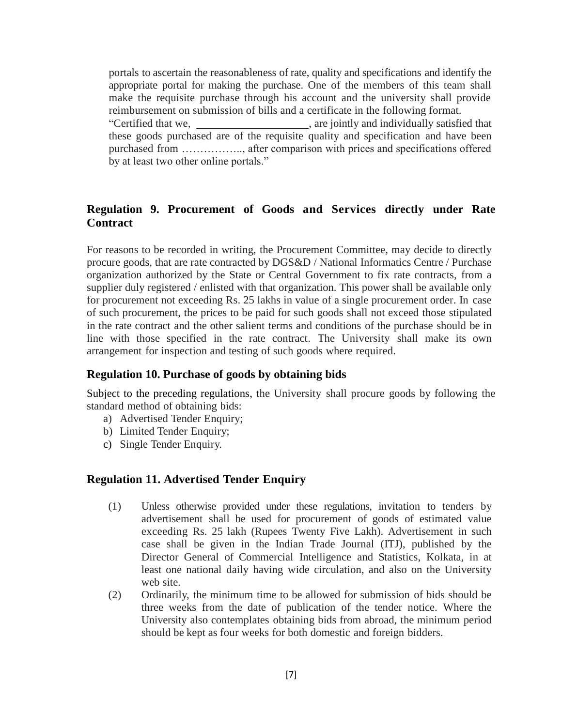portals to ascertain the reasonableness of rate, quality and specifications and identify the appropriate portal for making the purchase. One of the members of this team shall make the requisite purchase through his account and the university shall provide reimbursement on submission of bills and a certificate in the following format. "Certified that we, , are jointly and individually satisfied that these goods purchased are of the requisite quality and specification and have been purchased from …………….., after comparison with prices and specifications offered by at least two other online portals."

### <span id="page-6-0"></span>**Regulation 9. Procurement of Goods and Services directly under Rate Contract**

For reasons to be recorded in writing, the Procurement Committee, may decide to directly procure goods, that are rate contracted by DGS&D / National Informatics Centre / Purchase organization authorized by the State or Central Government to fix rate contracts, from a supplier duly registered / enlisted with that organization. This power shall be available only for procurement not exceeding Rs. 25 lakhs in value of a single procurement order. In case of such procurement, the prices to be paid for such goods shall not exceed those stipulated in the rate contract and the other salient terms and conditions of the purchase should be in line with those specified in the rate contract. The University shall make its own arrangement for inspection and testing of such goods where required.

### <span id="page-6-1"></span>**Regulation 10. Purchase of goods by obtaining bids**

Subject to the preceding regulations, the University shall procure goods by following the standard method of obtaining bids:

- a) Advertised Tender Enquiry;
- b) Limited Tender Enquiry;
- <span id="page-6-2"></span>c) Single Tender Enquiry.

### **Regulation 11. Advertised Tender Enquiry**

- (1) Unless otherwise provided under these regulations, invitation to tenders by advertisement shall be used for procurement of goods of estimated value exceeding Rs. 25 lakh (Rupees Twenty Five Lakh). Advertisement in such case shall be given in the Indian Trade Journal (ITJ), published by the Director General of Commercial Intelligence and Statistics, Kolkata, in at least one national daily having wide circulation, and also on the University web site.
- (2) Ordinarily, the minimum time to be allowed for submission of bids should be three weeks from the date of publication of the tender notice. Where the University also contemplates obtaining bids from abroad, the minimum period should be kept as four weeks for both domestic and foreign bidders.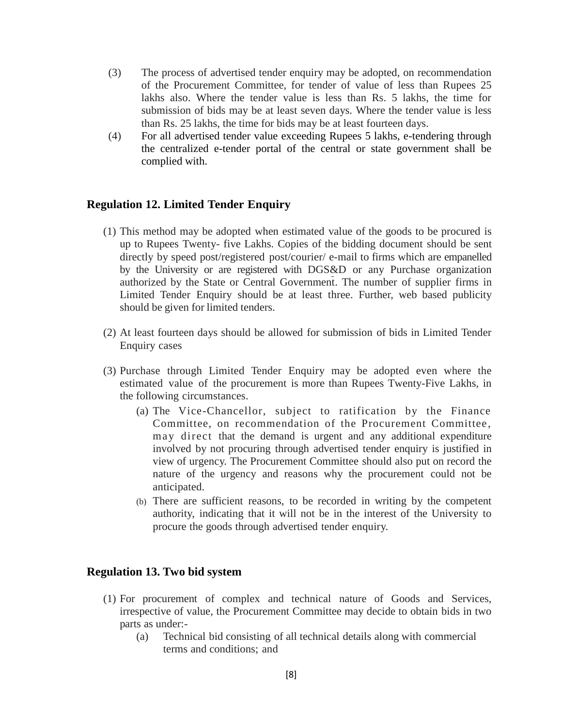- (3) The process of advertised tender enquiry may be adopted, on recommendation of the Procurement Committee, for tender of value of less than Rupees 25 lakhs also. Where the tender value is less than Rs. 5 lakhs, the time for submission of bids may be at least seven days. Where the tender value is less than Rs. 25 lakhs, the time for bids may be at least fourteen days.
- (4) For all advertised tender value exceeding Rupees 5 lakhs, e-tendering through the centralized e-tender portal of the central or state government shall be complied with.

#### <span id="page-7-0"></span>**Regulation 12. Limited Tender Enquiry**

- (1) This method may be adopted when estimated value of the goods to be procured is up to Rupees Twenty- five Lakhs. Copies of the bidding document should be sent directly by speed post/registered post/courier/ e-mail to firms which are empanelled by the University or are registered with DGS&D or any Purchase organization authorized by the State or Central Government. The number of supplier firms in Limited Tender Enquiry should be at least three. Further, web based publicity should be given for limited tenders.
- (2) At least fourteen days should be allowed for submission of bids in Limited Tender Enquiry cases
- (3) Purchase through Limited Tender Enquiry may be adopted even where the estimated value of the procurement is more than Rupees Twenty-Five Lakhs, in the following circumstances.
	- (a) The Vice-Chancellor, subject to ratification by the Finance Committee, on recommendation of the Procurement Committee , may direct that the demand is urgent and any additional expenditure involved by not procuring through advertised tender enquiry is justified in view of urgency. The Procurement Committee should also put on record the nature of the urgency and reasons why the procurement could not be anticipated.
	- (b) There are sufficient reasons, to be recorded in writing by the competent authority, indicating that it will not be in the interest of the University to procure the goods through advertised tender enquiry.

### <span id="page-7-1"></span>**Regulation 13. Two bid system**

- (1) For procurement of complex and technical nature of Goods and Services, irrespective of value, the Procurement Committee may decide to obtain bids in two parts as under:-
	- (a) Technical bid consisting of all technical details along with commercial terms and conditions; and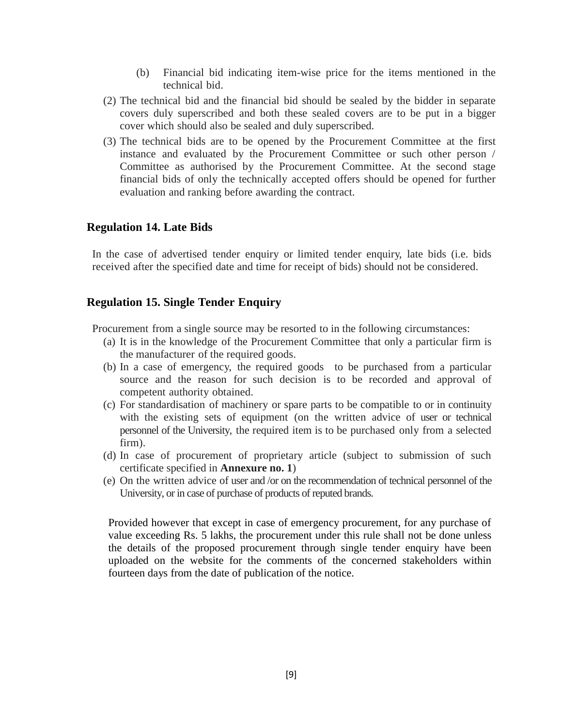- (b) Financial bid indicating item-wise price for the items mentioned in the technical bid.
- (2) The technical bid and the financial bid should be sealed by the bidder in separate covers duly superscribed and both these sealed covers are to be put in a bigger cover which should also be sealed and duly superscribed.
- (3) The technical bids are to be opened by the Procurement Committee at the first instance and evaluated by the Procurement Committee or such other person / Committee as authorised by the Procurement Committee. At the second stage financial bids of only the technically accepted offers should be opened for further evaluation and ranking before awarding the contract.

### <span id="page-8-0"></span>**Regulation 14. Late Bids**

<span id="page-8-1"></span>In the case of advertised tender enquiry or limited tender enquiry, late bids (i.e. bids received after the specified date and time for receipt of bids) should not be considered.

### **Regulation 15. Single Tender Enquiry**

Procurement from a single source may be resorted to in the following circumstances:

- (a) It is in the knowledge of the Procurement Committee that only a particular firm is the manufacturer of the required goods.
- (b) In a case of emergency, the required goods to be purchased from a particular source and the reason for such decision is to be recorded and approval of competent authority obtained.
- (c) For standardisation of machinery or spare parts to be compatible to or in continuity with the existing sets of equipment (on the written advice of user or technical personnel of the University, the required item is to be purchased only from a selected firm).
- (d) In case of procurement of proprietary article (subject to submission of such certificate specified in **Annexure no. 1**)
- (e) On the written advice of user and /or on the recommendation of technical personnel of the University, or in case of purchase of products of reputed brands.

Provided however that except in case of emergency procurement, for any purchase of value exceeding Rs. 5 lakhs, the procurement under this rule shall not be done unless the details of the proposed procurement through single tender enquiry have been uploaded on the website for the comments of the concerned stakeholders within fourteen days from the date of publication of the notice.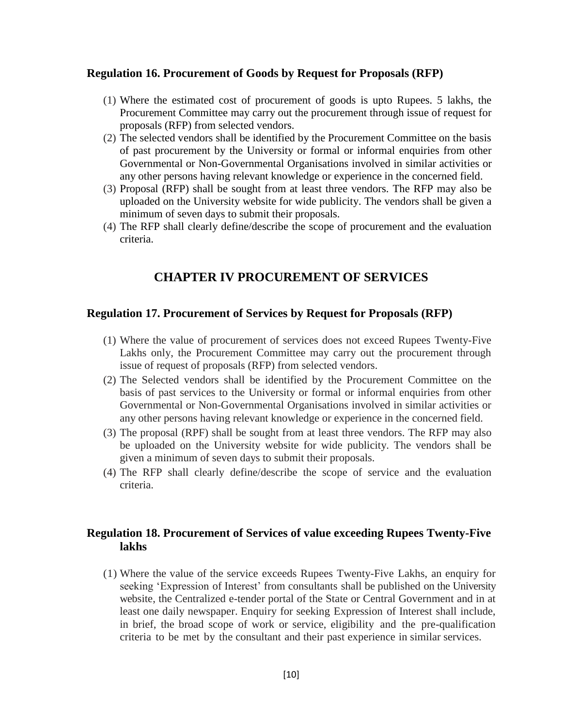#### <span id="page-9-0"></span>**Regulation 16. Procurement of Goods by Request for Proposals (RFP)**

- (1) Where the estimated cost of procurement of goods is upto Rupees. 5 lakhs, the Procurement Committee may carry out the procurement through issue of request for proposals (RFP) from selected vendors.
- (2) The selected vendors shall be identified by the Procurement Committee on the basis of past procurement by the University or formal or informal enquiries from other Governmental or Non-Governmental Organisations involved in similar activities or any other persons having relevant knowledge or experience in the concerned field.
- (3) Proposal (RFP) shall be sought from at least three vendors. The RFP may also be uploaded on the University website for wide publicity. The vendors shall be given a minimum of seven days to submit their proposals.
- <span id="page-9-1"></span>(4) The RFP shall clearly define/describe the scope of procurement and the evaluation criteria.

### **CHAPTER IV PROCUREMENT OF SERVICES**

### <span id="page-9-2"></span>**Regulation 17. Procurement of Services by Request for Proposals (RFP)**

- (1) Where the value of procurement of services does not exceed Rupees Twenty-Five Lakhs only, the Procurement Committee may carry out the procurement through issue of request of proposals (RFP) from selected vendors.
- (2) The Selected vendors shall be identified by the Procurement Committee on the basis of past services to the University or formal or informal enquiries from other Governmental or Non-Governmental Organisations involved in similar activities or any other persons having relevant knowledge or experience in the concerned field.
- (3) The proposal (RPF) shall be sought from at least three vendors. The RFP may also be uploaded on the University website for wide publicity. The vendors shall be given a minimum of seven days to submit their proposals.
- (4) The RFP shall clearly define/describe the scope of service and the evaluation criteria.

### <span id="page-9-3"></span>**Regulation 18. Procurement of Services of value exceeding Rupees Twenty-Five lakhs**

(1) Where the value of the service exceeds Rupees Twenty-Five Lakhs, an enquiry for seeking 'Expression of Interest' from consultants shall be published on the University website, the Centralized e-tender portal of the State or Central Government and in at least one daily newspaper. Enquiry for seeking Expression of Interest shall include, in brief, the broad scope of work or service, eligibility and the pre-qualification criteria to be met by the consultant and their past experience in similar services.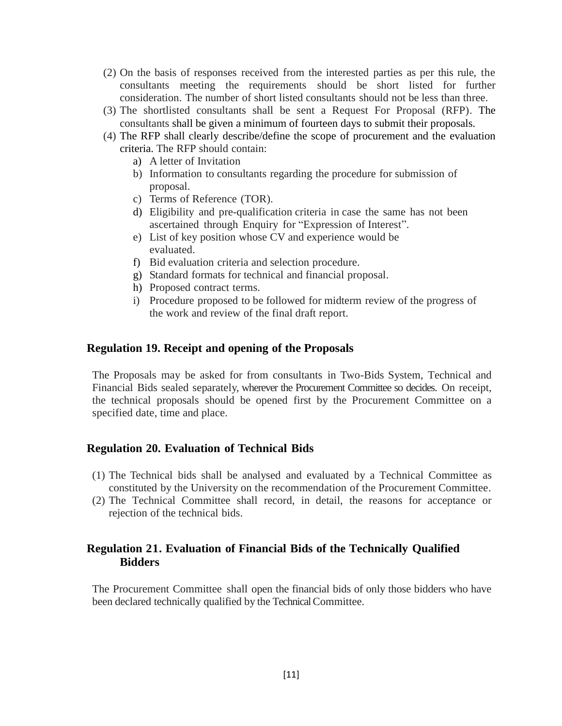- (2) On the basis of responses received from the interested parties as per this rule, the consultants meeting the requirements should be short listed for further consideration. The number of short listed consultants should not be less than three.
- (3) The shortlisted consultants shall be sent a Request For Proposal (RFP). The consultants shall be given a minimum of fourteen days to submit their proposals.
- (4) The RFP shall clearly describe/define the scope of procurement and the evaluation criteria. The RFP should contain:
	- a) A letter of Invitation
	- b) Information to consultants regarding the procedure for submission of proposal.
	- c) Terms of Reference (TOR).
	- d) Eligibility and pre-qualification criteria in case the same has not been ascertained through Enquiry for "Expression of Interest".
	- e) List of key position whose CV and experience would be evaluated.
	- f) Bid evaluation criteria and selection procedure.
	- g) Standard formats for technical and financial proposal.
	- h) Proposed contract terms.
	- i) Procedure proposed to be followed for midterm review of the progress of the work and review of the final draft report.

#### <span id="page-10-0"></span>**Regulation 19. Receipt and opening of the Proposals**

The Proposals may be asked for from consultants in Two-Bids System, Technical and Financial Bids sealed separately, wherever the Procurement Committee so decides. On receipt, the technical proposals should be opened first by the Procurement Committee on a specified date, time and place.

### <span id="page-10-1"></span>**Regulation 20. Evaluation of Technical Bids**

- (1) The Technical bids shall be analysed and evaluated by a Technical Committee as constituted by the University on the recommendation of the Procurement Committee.
- (2) The Technical Committee shall record, in detail, the reasons for acceptance or rejection of the technical bids.

### <span id="page-10-2"></span>**Regulation 21. Evaluation of Financial Bids of the Technically Qualified Bidders**

The Procurement Committee shall open the financial bids of only those bidders who have been declared technically qualified by the Technical Committee.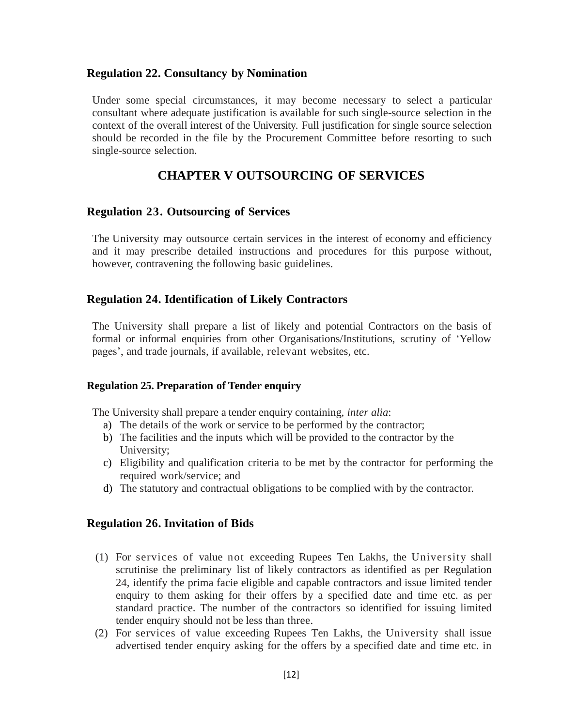### <span id="page-11-0"></span>**Regulation 22. Consultancy by Nomination**

Under some special circumstances, it may become necessary to select a particular consultant where adequate justification is available for such single-source selection in the context of the overall interest of the University. Full justification for single source selection should be recorded in the file by the Procurement Committee before resorting to such single-source selection.

### **CHAPTER V OUTSOURCING OF SERVICES**

#### <span id="page-11-2"></span><span id="page-11-1"></span>**Regulation 23. Outsourcing of Services**

The University may outsource certain services in the interest of economy and efficiency and it may prescribe detailed instructions and procedures for this purpose without, however, contravening the following basic guidelines.

#### <span id="page-11-3"></span>**Regulation 24. Identification of Likely Contractors**

The University shall prepare a list of likely and potential Contractors on the basis of formal or informal enquiries from other Organisations/Institutions, scrutiny of 'Yellow pages', and trade journals, if available, relevant websites, etc.

#### <span id="page-11-4"></span>**Regulation 25. Preparation of Tender enquiry**

The University shall prepare a tender enquiry containing, *inter alia*:

- a) The details of the work or service to be performed by the contractor;
- b) The facilities and the inputs which will be provided to the contractor by the University;
- c) Eligibility and qualification criteria to be met by the contractor for performing the required work/service; and
- <span id="page-11-5"></span>d) The statutory and contractual obligations to be complied with by the contractor.

#### **Regulation 26. Invitation of Bids**

- (1) For services of value not exceeding Rupees Ten Lakhs, the University shall scrutinise the preliminary list of likely contractors as identified as per Regulation 24, identify the prima facie eligible and capable contractors and issue limited tender enquiry to them asking for their offers by a specified date and time etc. as per standard practice. The number of the contractors so identified for issuing limited tender enquiry should not be less than three.
- (2) For services of value exceeding Rupees Ten Lakhs, the University shall issue advertised tender enquiry asking for the offers by a specified date and time etc. in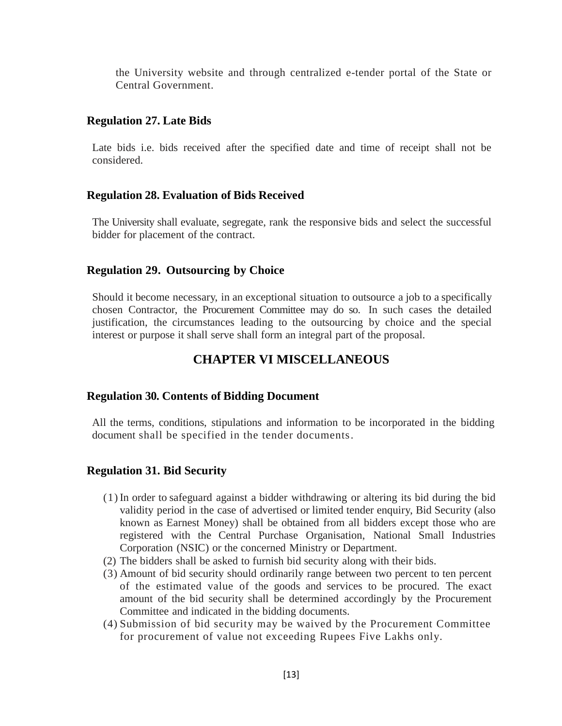the University website and through centralized e-tender portal of the State or Central Government.

### <span id="page-12-0"></span>**Regulation 27. Late Bids**

Late bids i.e. bids received after the specified date and time of receipt shall not be considered.

### <span id="page-12-1"></span>**Regulation 28. Evaluation of Bids Received**

The University shall evaluate, segregate, rank the responsive bids and select the successful bidder for placement of the contract.

### <span id="page-12-2"></span>**Regulation 29. Outsourcing by Choice**

<span id="page-12-3"></span>Should it become necessary, in an exceptional situation to outsource a job to a specifically chosen Contractor, the Procurement Committee may do so. In such cases the detailed justification, the circumstances leading to the outsourcing by choice and the special interest or purpose it shall serve shall form an integral part of the proposal.

# **CHAPTER VI MISCELLANEOUS**

### <span id="page-12-4"></span>**Regulation 30. Contents of Bidding Document**

All the terms, conditions, stipulations and information to be incorporated in the bidding document shall be specified in the tender documents.

### <span id="page-12-5"></span>**Regulation 31. Bid Security**

- (1) In order to safeguard against a bidder withdrawing or altering its bid during the bid validity period in the case of advertised or limited tender enquiry, Bid Security (also known as Earnest Money) shall be obtained from all bidders except those who are registered with the Central Purchase Organisation, National Small Industries Corporation (NSIC) or the concerned Ministry or Department.
- (2) The bidders shall be asked to furnish bid security along with their bids.
- (3) Amount of bid security should ordinarily range between two percent to ten percent of the estimated value of the goods and services to be procured. The exact amount of the bid security shall be determined accordingly by the Procurement Committee and indicated in the bidding documents.
- (4) Submission of bid security may be waived by the Procurement Committee for procurement of value not exceeding Rupees Five Lakhs only.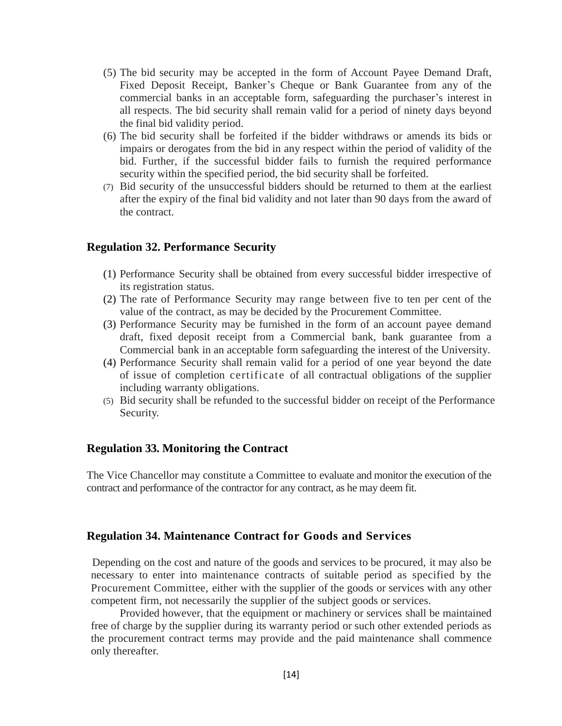- (5) The bid security may be accepted in the form of Account Payee Demand Draft, Fixed Deposit Receipt, Banker's Cheque or Bank Guarantee from any of the commercial banks in an acceptable form, safeguarding the purchaser's interest in all respects. The bid security shall remain valid for a period of ninety days beyond the final bid validity period.
- (6) The bid security shall be forfeited if the bidder withdraws or amends its bids or impairs or derogates from the bid in any respect within the period of validity of the bid. Further, if the successful bidder fails to furnish the required performance security within the specified period, the bid security shall be forfeited.
- (7) Bid security of the unsuccessful bidders should be returned to them at the earliest after the expiry of the final bid validity and not later than 90 days from the award of the contract.

#### <span id="page-13-0"></span>**Regulation 32. Performance Security**

- (1) Performance Security shall be obtained from every successful bidder irrespective of its registration status.
- (2) The rate of Performance Security may range between five to ten per cent of the value of the contract, as may be decided by the Procurement Committee.
- (3) Performance Security may be furnished in the form of an account payee demand draft, fixed deposit receipt from a Commercial bank, bank guarantee from a Commercial bank in an acceptable form safeguarding the interest of the University.
- (4) Performance Security shall remain valid for a period of one year beyond the date of issue of completion certificate of all contractual obligations of the supplier including warranty obligations.
- (5) Bid security shall be refunded to the successful bidder on receipt of the Performance Security.

#### <span id="page-13-1"></span>**Regulation 33. Monitoring the Contract**

The Vice Chancellor may constitute a Committee to evaluate and monitor the execution of the contract and performance of the contractor for any contract, as he may deem fit.

#### <span id="page-13-2"></span>**Regulation 34. Maintenance Contract for Goods and Services**

Depending on the cost and nature of the goods and services to be procured, it may also be necessary to enter into maintenance contracts of suitable period as specified by the Procurement Committee, either with the supplier of the goods or services with any other competent firm, not necessarily the supplier of the subject goods or services.

Provided however, that the equipment or machinery or services shall be maintained free of charge by the supplier during its warranty period or such other extended periods as the procurement contract terms may provide and the paid maintenance shall commence only thereafter.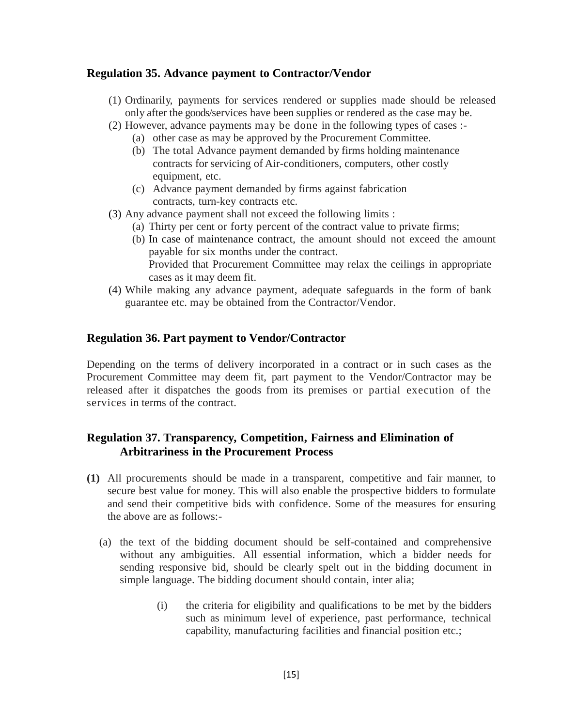### <span id="page-14-0"></span>**Regulation 35. Advance payment to Contractor/Vendor**

- (1) Ordinarily, payments for services rendered or supplies made should be released only after the goods/services have been supplies or rendered as the case may be.
- (2) However, advance payments may be done in the following types of cases :-
	- (a) other case as may be approved by the Procurement Committee.
	- (b) The total Advance payment demanded by firms holding maintenance contracts for servicing of Air-conditioners, computers, other costly equipment, etc.
	- (c) Advance payment demanded by firms against fabrication contracts, turn-key contracts etc.
- (3) Any advance payment shall not exceed the following limits :
	- (a) Thirty per cent or forty percent of the contract value to private firms;
	- (b) In case of maintenance contract, the amount should not exceed the amount payable for six months under the contract. Provided that Procurement Committee may relax the ceilings in appropriate cases as it may deem fit.
- (4) While making any advance payment, adequate safeguards in the form of bank guarantee etc. may be obtained from the Contractor/Vendor.

### <span id="page-14-1"></span>**Regulation 36. Part payment to Vendor/Contractor**

Depending on the terms of delivery incorporated in a contract or in such cases as the Procurement Committee may deem fit, part payment to the Vendor/Contractor may be released after it dispatches the goods from its premises or partial execution of the services in terms of the contract.

### <span id="page-14-2"></span>**Regulation 37. Transparency, Competition, Fairness and Elimination of Arbitrariness in the Procurement Process**

- **(1)** All procurements should be made in a transparent, competitive and fair manner, to secure best value for money. This will also enable the prospective bidders to formulate and send their competitive bids with confidence. Some of the measures for ensuring the above are as follows:-
	- (a) the text of the bidding document should be self-contained and comprehensive without any ambiguities. All essential information, which a bidder needs for sending responsive bid, should be clearly spelt out in the bidding document in simple language. The bidding document should contain, inter alia;
		- (i) the criteria for eligibility and qualifications to be met by the bidders such as minimum level of experience, past performance, technical capability, manufacturing facilities and financial position etc.;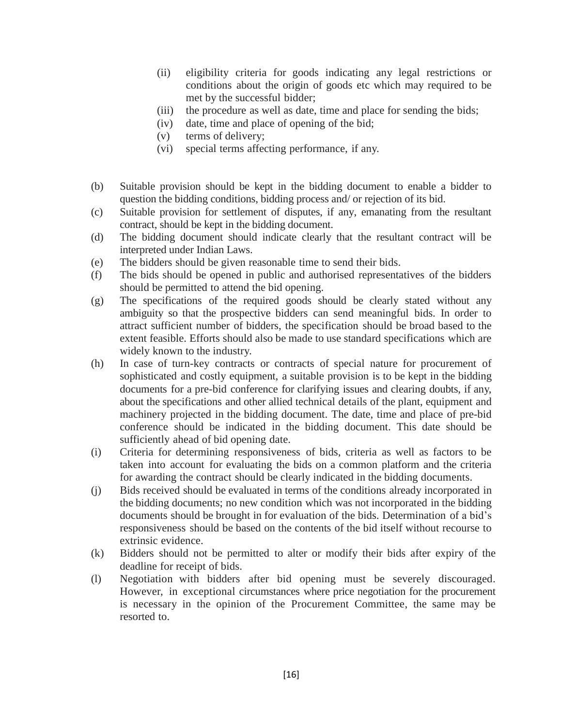- (ii) eligibility criteria for goods indicating any legal restrictions or conditions about the origin of goods etc which may required to be met by the successful bidder;
- (iii) the procedure as well as date, time and place for sending the bids;
- (iv) date, time and place of opening of the bid;
- (v) terms of delivery;
- (vi) special terms affecting performance, if any.
- (b) Suitable provision should be kept in the bidding document to enable a bidder to question the bidding conditions, bidding process and/ or rejection of its bid.
- (c) Suitable provision for settlement of disputes, if any, emanating from the resultant contract, should be kept in the bidding document.
- (d) The bidding document should indicate clearly that the resultant contract will be interpreted under Indian Laws.
- (e) The bidders should be given reasonable time to send their bids.
- (f) The bids should be opened in public and authorised representatives of the bidders should be permitted to attend the bid opening.
- (g) The specifications of the required goods should be clearly stated without any ambiguity so that the prospective bidders can send meaningful bids. In order to attract sufficient number of bidders, the specification should be broad based to the extent feasible. Efforts should also be made to use standard specifications which are widely known to the industry.
- (h) In case of turn-key contracts or contracts of special nature for procurement of sophisticated and costly equipment, a suitable provision is to be kept in the bidding documents for a pre-bid conference for clarifying issues and clearing doubts, if any, about the specifications and other allied technical details of the plant, equipment and machinery projected in the bidding document. The date, time and place of pre-bid conference should be indicated in the bidding document. This date should be sufficiently ahead of bid opening date.
- (i) Criteria for determining responsiveness of bids, criteria as well as factors to be taken into account for evaluating the bids on a common platform and the criteria for awarding the contract should be clearly indicated in the bidding documents.
- (j) Bids received should be evaluated in terms of the conditions already incorporated in the bidding documents; no new condition which was not incorporated in the bidding documents should be brought in for evaluation of the bids. Determination of a bid's responsiveness should be based on the contents of the bid itself without recourse to extrinsic evidence.
- (k) Bidders should not be permitted to alter or modify their bids after expiry of the deadline for receipt of bids.
- (l) Negotiation with bidders after bid opening must be severely discouraged. However, in exceptional circumstances where price negotiation for the procurement is necessary in the opinion of the Procurement Committee, the same may be resorted to.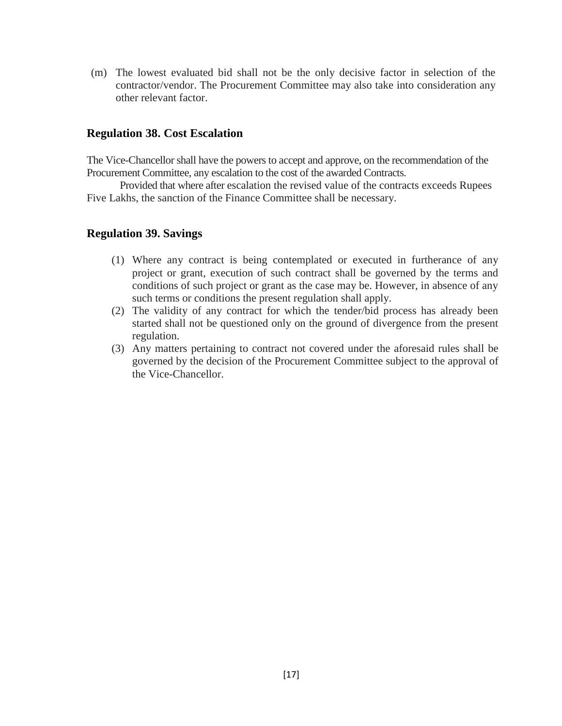(m) The lowest evaluated bid shall not be the only decisive factor in selection of the contractor/vendor. The Procurement Committee may also take into consideration any other relevant factor.

### <span id="page-16-0"></span>**Regulation 38. Cost Escalation**

The Vice-Chancellor shall have the powers to accept and approve, on the recommendation of the Procurement Committee, any escalation to the cost of the awarded Contracts.

Provided that where after escalation the revised value of the contracts exceeds Rupees Five Lakhs, the sanction of the Finance Committee shall be necessary.

### <span id="page-16-1"></span>**Regulation 39. Savings**

- (1) Where any contract is being contemplated or executed in furtherance of any project or grant, execution of such contract shall be governed by the terms and conditions of such project or grant as the case may be. However, in absence of any such terms or conditions the present regulation shall apply.
- (2) The validity of any contract for which the tender/bid process has already been started shall not be questioned only on the ground of divergence from the present regulation.
- (3) Any matters pertaining to contract not covered under the aforesaid rules shall be governed by the decision of the Procurement Committee subject to the approval of the Vice-Chancellor.